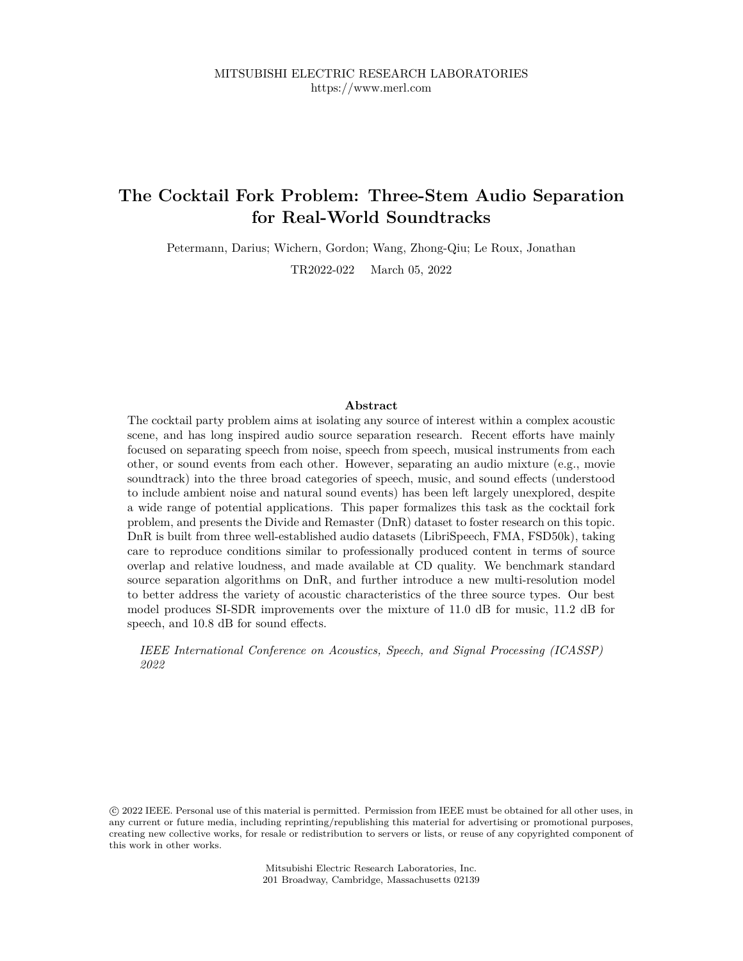# **The Cocktail Fork Problem: Three-Stem Audio Separation for Real-World Soundtracks**

Petermann, Darius; Wichern, Gordon; Wang, Zhong-Qiu; Le Roux, Jonathan

TR2022-022 March 05, 2022

# **Abstract**

The cocktail party problem aims at isolating any source of interest within a complex acoustic scene, and has long inspired audio source separation research. Recent efforts have mainly focused on separating speech from noise, speech from speech, musical instruments from each other, or sound events from each other. However, separating an audio mixture (e.g., movie soundtrack) into the three broad categories of speech, music, and sound effects (understood to include ambient noise and natural sound events) has been left largely unexplored, despite a wide range of potential applications. This paper formalizes this task as the cocktail fork problem, and presents the Divide and Remaster (DnR) dataset to foster research on this topic. DnR is built from three well-established audio datasets (LibriSpeech, FMA, FSD50k), taking care to reproduce conditions similar to professionally produced content in terms of source overlap and relative loudness, and made available at CD quality. We benchmark standard source separation algorithms on DnR, and further introduce a new multi-resolution model to better address the variety of acoustic characteristics of the three source types. Our best model produces SI-SDR improvements over the mixture of 11.0 dB for music, 11.2 dB for speech, and 10.8 dB for sound effects.

*IEEE International Conference on Acoustics, Speech, and Signal Processing (ICASSP) 2022*

 c 2022 IEEE. Personal use of this material is permitted. Permission from IEEE must be obtained for all other uses, in any current or future media, including reprinting/republishing this material for advertising or promotional purposes, creating new collective works, for resale or redistribution to servers or lists, or reuse of any copyrighted component of this work in other works.

> Mitsubishi Electric Research Laboratories, Inc. 201 Broadway, Cambridge, Massachusetts 02139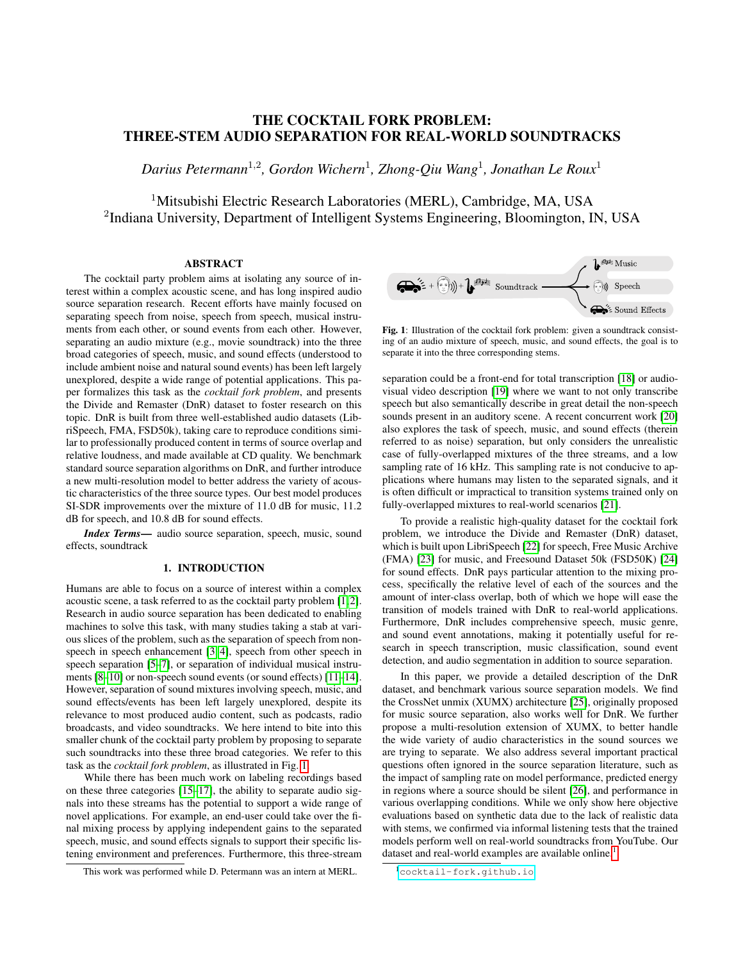# THE COCKTAIL FORK PROBLEM: THREE-STEM AUDIO SEPARATION FOR REAL-WORLD SOUNDTRACKS

*Darius Petermann*<sup>1</sup>,<sup>2</sup> *, Gordon Wichern*<sup>1</sup> *, Zhong-Qiu Wang*<sup>1</sup> *, Jonathan Le Roux*<sup>1</sup>

<sup>1</sup>Mitsubishi Electric Research Laboratories (MERL), Cambridge, MA, USA <sup>2</sup>Indiana University, Department of Intelligent Systems Engineering, Bloomington, IN, USA

# ABSTRACT

The cocktail party problem aims at isolating any source of interest within a complex acoustic scene, and has long inspired audio source separation research. Recent efforts have mainly focused on separating speech from noise, speech from speech, musical instruments from each other, or sound events from each other. However, separating an audio mixture (e.g., movie soundtrack) into the three broad categories of speech, music, and sound effects (understood to include ambient noise and natural sound events) has been left largely unexplored, despite a wide range of potential applications. This paper formalizes this task as the *cocktail fork problem*, and presents the Divide and Remaster (DnR) dataset to foster research on this topic. DnR is built from three well-established audio datasets (LibriSpeech, FMA, FSD50k), taking care to reproduce conditions similar to professionally produced content in terms of source overlap and relative loudness, and made available at CD quality. We benchmark standard source separation algorithms on DnR, and further introduce a new multi-resolution model to better address the variety of acoustic characteristics of the three source types. Our best model produces SI-SDR improvements over the mixture of 11.0 dB for music, 11.2 dB for speech, and 10.8 dB for sound effects.

*Index Terms*— audio source separation, speech, music, sound effects, soundtrack

# 1. INTRODUCTION

Humans are able to focus on a source of interest within a complex acoustic scene, a task referred to as the cocktail party problem [1, 2]. Research in audio source separation has been dedicated to enabling machines to solve this task, with many studies taking a stab at various slices of the problem, such as the separation of speech from nonspeech in speech enhancement [3, 4], speech from other speech in speech separation [5–7], or separation of individual musical instruments [8–10] or non-speech sound events (or sound effects) [11–14]. However, separation of sound mixtures involving speech, music, and sound effects/events has been left largely unexplored, despite its relevance to most produced audio content, such as podcasts, radio broadcasts, and video soundtracks. We here intend to bite into this smaller chunk of the cocktail party problem by proposing to separate such soundtracks into these three broad categories. We refer to this task as the *cocktail fork problem*, as illustrated in Fig. 1.

While there has been much work on labeling recordings based on these three categories [15–17], the ability to separate audio signals into these streams has the potential to support a wide range of novel applications. For example, an end-user could take over the final mixing process by applying independent gains to the separated speech, music, and sound effects signals to support their specific listening environment and preferences. Furthermore, this three-stream



Fig. 1: Illustration of the cocktail fork problem: given a soundtrack consisting of an audio mixture of speech, music, and sound effects, the goal is to separate it into the three corresponding stems.

separation could be a front-end for total transcription [18] or audiovisual video description [19] where we want to not only transcribe speech but also semantically describe in great detail the non-speech sounds present in an auditory scene. A recent concurrent work [20] also explores the task of speech, music, and sound effects (therein referred to as noise) separation, but only considers the unrealistic case of fully-overlapped mixtures of the three streams, and a low sampling rate of 16 kHz. This sampling rate is not conducive to applications where humans may listen to the separated signals, and it is often difficult or impractical to transition systems trained only on fully-overlapped mixtures to real-world scenarios [21].

To provide a realistic high-quality dataset for the cocktail fork problem, we introduce the Divide and Remaster (DnR) dataset, which is built upon LibriSpeech [22] for speech, Free Music Archive (FMA) [23] for music, and Freesound Dataset 50k (FSD50K) [24] for sound effects. DnR pays particular attention to the mixing process, specifically the relative level of each of the sources and the amount of inter-class overlap, both of which we hope will ease the transition of models trained with DnR to real-world applications. Furthermore, DnR includes comprehensive speech, music genre, and sound event annotations, making it potentially useful for research in speech transcription, music classification, sound event detection, and audio segmentation in addition to source separation.

In this paper, we provide a detailed description of the DnR dataset, and benchmark various source separation models. We find the CrossNet unmix (XUMX) architecture [25], originally proposed for music source separation, also works well for DnR. We further propose a multi-resolution extension of XUMX, to better handle the wide variety of audio characteristics in the sound sources we are trying to separate. We also address several important practical questions often ignored in the source separation literature, such as the impact of sampling rate on model performance, predicted energy in regions where a source should be silent [26], and performance in various overlapping conditions. While we only show here objective evaluations based on synthetic data due to the lack of realistic data with stems, we confirmed via informal listening tests that the trained models perform well on real-world soundtracks from YouTube. Our dataset and real-world examples are available online.<sup>1</sup>

This work was performed while D. Petermann was an intern at MERL.

<sup>1</sup><cocktail-fork.github.io>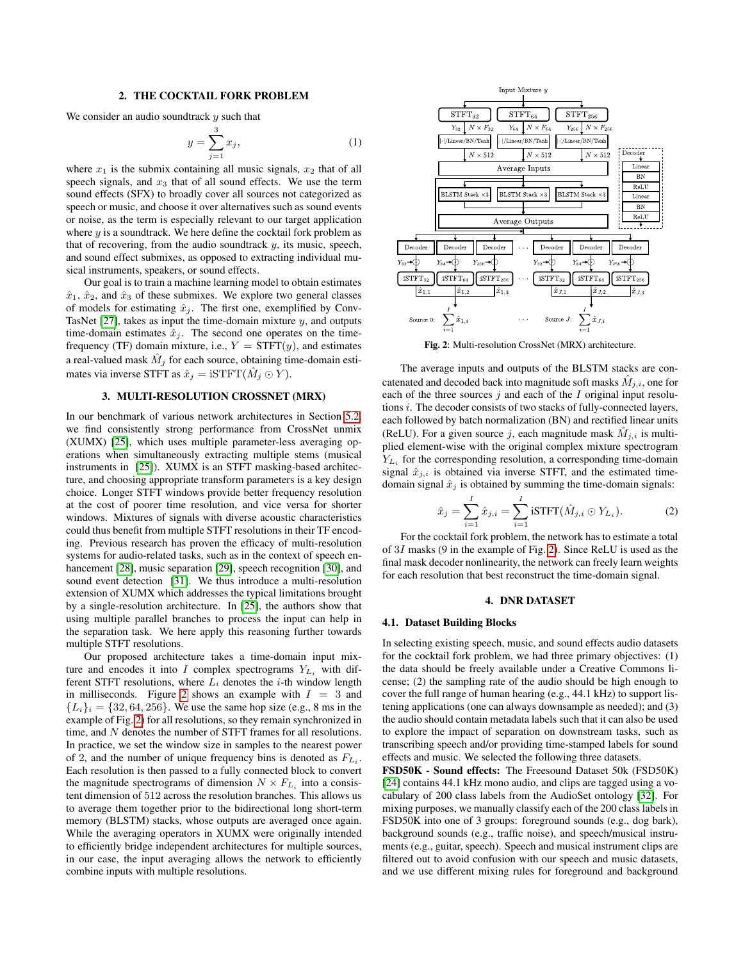#### 2. THE COCKTAIL FORK PROBLEM

We consider an audio sound track  $y$  such that

$$
y = \sum_{j=1}^{3} x_j,\tag{1}
$$

where  $x_1$  is the submix containing all music signals,  $x_2$  that of all speech signals, and  $x_3$  that of all sound effects. We use the term sound effects (SFX) to broadly cover all sources not categorized as speech or music, and choose it over alternatives such as sound events or noise, as the term is especially relevant to our target application where  $y$  is a soundtrack. We here define the cocktail fork problem as that of recovering, from the audio soundtrack  $y$ , its music, speech, and sound effect submixes, as opposed to extracting individual musical instruments, speakers, or sound effects.

Our goal is to train a machine learning model to obtain estimates  $\hat{x}_1$ ,  $\hat{x}_2$ , and  $\hat{x}_3$  of these submixes. We explore two general classes of models for estimating  $\hat{x}_j$ . The first one, exemplified by Conv-TasNet  $[27]$ , takes as input the time-domain mixture  $y$ , and outputs time-domain estimates  $\hat{x}_j$ . The second one operates on the timefrequency (TF) domain mixture, i.e.,  $Y = STFT(y)$ , and estimates a real-valued mask  $\hat{M}_j$  for each source, obtaining time-domain estimates via inverse STFT as  $\hat{x}_j = \text{iSTFT}(\hat{M}_j \odot Y)$ .

### 3. MULTI-RESOLUTION CROSSNET (MRX)

In our benchmark of various network architectures in Section 5.2, we find consistently strong performance from CrossNet unmix (XUMX) [25], which uses multiple parameter-less averaging operations when simultaneously extracting multiple stems (musical instruments in [25]). XUMX is an STFT masking-based architecture, and choosing appropriate transform parameters is a key design choice. Longer STFT windows provide better frequency resolution at the cost of poorer time resolution, and vice versa for shorter windows. Mixtures of signals with diverse acoustic characteristics could thus benefit from multiple STFT resolutions in their TF encoding. Previous research has proven the efficacy of multi-resolution systems for audio-related tasks, such as in the context of speech enhancement [28], music separation [29], speech recognition [30], and sound event detection [31]. We thus introduce a multi-resolution extension of XUMX which addresses the typical limitations brought by a single-resolution architecture. In [25], the authors show that using multiple parallel branches to process the input can help in the separation task. We here apply this reasoning further towards multiple STFT resolutions.

Our proposed architecture takes a time-domain input mixture and encodes it into I complex spectrograms  $Y_{L_i}$  with different STFT resolutions, where  $L_i$  denotes the *i*-th window length in milliseconds. Figure 2 shows an example with  $I = 3$  and  ${L_i}_i = {32, 64, 256}$ . We use the same hop size (e.g., 8 ms in the example of Fig. 2) for all resolutions, so they remain synchronized in time, and N denotes the number of STFT frames for all resolutions. In practice, we set the window size in samples to the nearest power of 2, and the number of unique frequency bins is denoted as  $F_{L_i}$ . Each resolution is then passed to a fully connected block to convert the magnitude spectrograms of dimension  $N \times F_{L_i}$  into a consistent dimension of 512 across the resolution branches. This allows us to average them together prior to the bidirectional long short-term memory (BLSTM) stacks, whose outputs are averaged once again. While the averaging operators in XUMX were originally intended to efficiently bridge independent architectures for multiple sources, in our case, the input averaging allows the network to efficiently combine inputs with multiple resolutions.



Fig. 2: Multi-resolution CrossNet (MRX) architecture.

The average inputs and outputs of the BLSTM stacks are concatenated and decoded back into magnitude soft masks  $\tilde{M}_{j,i}$ , one for each of the three sources  $j$  and each of the  $I$  original input resolutions i. The decoder consists of two stacks of fully-connected layers, each followed by batch normalization (BN) and rectified linear units (ReLU). For a given source j, each magnitude mask  $M_{j,i}$  is multiplied element-wise with the original complex mixture spectrogram  $Y_{L_i}$  for the corresponding resolution, a corresponding time-domain signal  $\hat{x}_{j,i}$  is obtained via inverse STFT, and the estimated timedomain signal  $\hat{x}_j$  is obtained by summing the time-domain signals:

$$
\hat{x}_j = \sum_{i=1}^I \hat{x}_{j,i} = \sum_{i=1}^I \text{isTFT}(\hat{M}_{j,i} \odot Y_{L_i}).
$$
 (2)

For the cocktail fork problem, the network has to estimate a total of 3I masks (9 in the example of Fig. 2). Since ReLU is used as the final mask decoder nonlinearity, the network can freely learn weights for each resolution that best reconstruct the time-domain signal.

#### 4. DNR DATASET

#### 4.1. Dataset Building Blocks

In selecting existing speech, music, and sound effects audio datasets for the cocktail fork problem, we had three primary objectives: (1) the data should be freely available under a Creative Commons license; (2) the sampling rate of the audio should be high enough to cover the full range of human hearing (e.g., 44.1 kHz) to support listening applications (one can always downsample as needed); and (3) the audio should contain metadata labels such that it can also be used to explore the impact of separation on downstream tasks, such as transcribing speech and/or providing time-stamped labels for sound effects and music. We selected the following three datasets.

FSD50K - Sound effects: The Freesound Dataset 50k (FSD50K) [24] contains 44.1 kHz mono audio, and clips are tagged using a vocabulary of 200 class labels from the AudioSet ontology [32]. For mixing purposes, we manually classify each of the 200 class labels in FSD50K into one of 3 groups: foreground sounds (e.g., dog bark), background sounds (e.g., traffic noise), and speech/musical instruments (e.g., guitar, speech). Speech and musical instrument clips are filtered out to avoid confusion with our speech and music datasets, and we use different mixing rules for foreground and background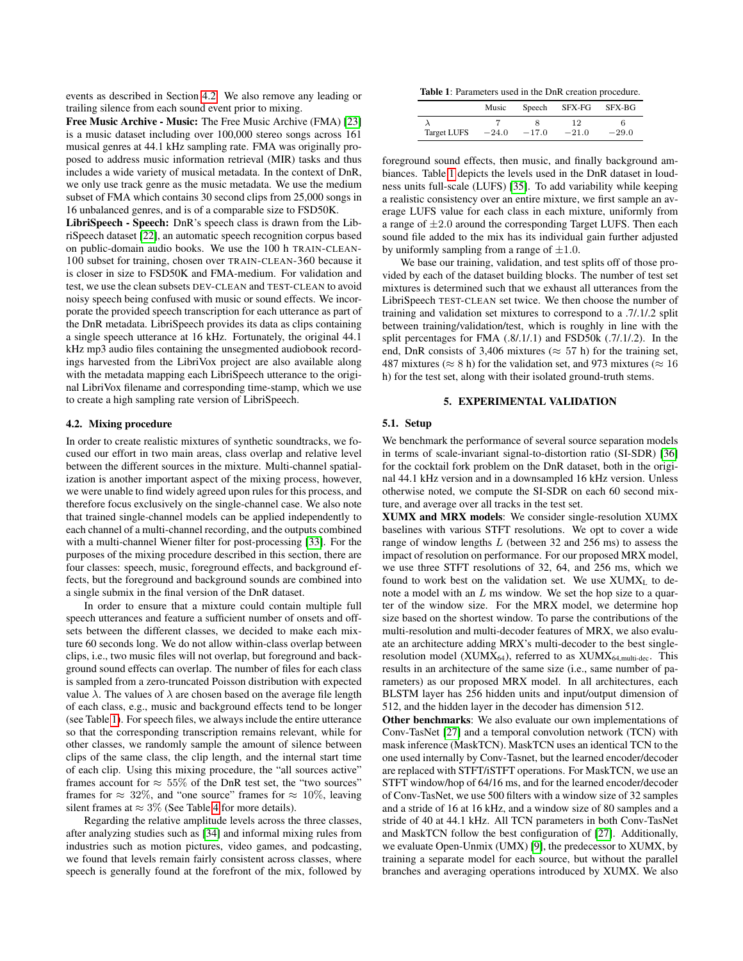events as described in Section 4.2. We also remove any leading or trailing silence from each sound event prior to mixing.

Free Music Archive - Music: The Free Music Archive (FMA) [23] is a music dataset including over 100,000 stereo songs across 161 musical genres at 44.1 kHz sampling rate. FMA was originally proposed to address music information retrieval (MIR) tasks and thus includes a wide variety of musical metadata. In the context of DnR, we only use track genre as the music metadata. We use the medium subset of FMA which contains 30 second clips from 25,000 songs in 16 unbalanced genres, and is of a comparable size to FSD50K.

LibriSpeech - Speech: DnR's speech class is drawn from the LibriSpeech dataset [22], an automatic speech recognition corpus based on public-domain audio books. We use the 100 h TRAIN-CLEAN-100 subset for training, chosen over TRAIN-CLEAN-360 because it is closer in size to FSD50K and FMA-medium. For validation and test, we use the clean subsets DEV-CLEAN and TEST-CLEAN to avoid noisy speech being confused with music or sound effects. We incorporate the provided speech transcription for each utterance as part of the DnR metadata. LibriSpeech provides its data as clips containing a single speech utterance at 16 kHz. Fortunately, the original 44.1 kHz mp3 audio files containing the unsegmented audiobook recordings harvested from the LibriVox project are also available along with the metadata mapping each LibriSpeech utterance to the original LibriVox filename and corresponding time-stamp, which we use to create a high sampling rate version of LibriSpeech.

#### 4.2. Mixing procedure

In order to create realistic mixtures of synthetic soundtracks, we focused our effort in two main areas, class overlap and relative level between the different sources in the mixture. Multi-channel spatialization is another important aspect of the mixing process, however, we were unable to find widely agreed upon rules for this process, and therefore focus exclusively on the single-channel case. We also note that trained single-channel models can be applied independently to each channel of a multi-channel recording, and the outputs combined with a multi-channel Wiener filter for post-processing [33]. For the purposes of the mixing procedure described in this section, there are four classes: speech, music, foreground effects, and background effects, but the foreground and background sounds are combined into a single submix in the final version of the DnR dataset.

In order to ensure that a mixture could contain multiple full speech utterances and feature a sufficient number of onsets and offsets between the different classes, we decided to make each mixture 60 seconds long. We do not allow within-class overlap between clips, i.e., two music files will not overlap, but foreground and background sound effects can overlap. The number of files for each class is sampled from a zero-truncated Poisson distribution with expected value  $λ$ . The values of  $λ$  are chosen based on the average file length of each class, e.g., music and background effects tend to be longer (see Table 1). For speech files, we always include the entire utterance so that the corresponding transcription remains relevant, while for other classes, we randomly sample the amount of silence between clips of the same class, the clip length, and the internal start time of each clip. Using this mixing procedure, the "all sources active" frames account for  $\approx 55\%$  of the DnR test set, the "two sources" frames for  $\approx 32\%$ , and "one source" frames for  $\approx 10\%$ , leaving silent frames at  $\approx 3\%$  (See Table 4 for more details).

Regarding the relative amplitude levels across the three classes, after analyzing studies such as [34] and informal mixing rules from industries such as motion pictures, video games, and podcasting, we found that levels remain fairly consistent across classes, where speech is generally found at the forefront of the mix, followed by

Table 1: Parameters used in the DnR creation procedure.

|             | Music   |         | Speech SFX-FG | SFX-BG  |  |
|-------------|---------|---------|---------------|---------|--|
| Target LUFS | $-24.0$ | $-17.0$ | 12<br>$-21.0$ | $-29.0$ |  |

foreground sound effects, then music, and finally background ambiances. Table 1 depicts the levels used in the DnR dataset in loudness units full-scale (LUFS) [35]. To add variability while keeping a realistic consistency over an entire mixture, we first sample an average LUFS value for each class in each mixture, uniformly from a range of  $\pm 2.0$  around the corresponding Target LUFS. Then each sound file added to the mix has its individual gain further adjusted by uniformly sampling from a range of  $\pm 1.0$ .

We base our training, validation, and test splits off of those provided by each of the dataset building blocks. The number of test set mixtures is determined such that we exhaust all utterances from the LibriSpeech TEST-CLEAN set twice. We then choose the number of training and validation set mixtures to correspond to a .7/.1/.2 split between training/validation/test, which is roughly in line with the split percentages for FMA (.8/.1/.1) and FSD50k (.7/.1/.2). In the end, DnR consists of 3,406 mixtures ( $\approx$  57 h) for the training set, 487 mixtures ( $\approx$  8 h) for the validation set, and 973 mixtures ( $\approx$  16 h) for the test set, along with their isolated ground-truth stems.

#### 5. EXPERIMENTAL VALIDATION

#### 5.1. Setup

We benchmark the performance of several source separation models in terms of scale-invariant signal-to-distortion ratio (SI-SDR) [36] for the cocktail fork problem on the DnR dataset, both in the original 44.1 kHz version and in a downsampled 16 kHz version. Unless otherwise noted, we compute the SI-SDR on each 60 second mixture, and average over all tracks in the test set.

XUMX and MRX models: We consider single-resolution XUMX baselines with various STFT resolutions. We opt to cover a wide range of window lengths L (between 32 and 256 ms) to assess the impact of resolution on performance. For our proposed MRX model, we use three STFT resolutions of 32, 64, and 256 ms, which we found to work best on the validation set. We use  $XUMX_L$  to denote a model with an  $L$  ms window. We set the hop size to a quarter of the window size. For the MRX model, we determine hop size based on the shortest window. To parse the contributions of the multi-resolution and multi-decoder features of MRX, we also evaluate an architecture adding MRX's multi-decoder to the best singleresolution model (XUMX $_{64}$ ), referred to as XUMX $_{64 \text{ multi-dec}}$ . This results in an architecture of the same size (i.e., same number of parameters) as our proposed MRX model. In all architectures, each BLSTM layer has 256 hidden units and input/output dimension of 512, and the hidden layer in the decoder has dimension 512.

Other benchmarks: We also evaluate our own implementations of Conv-TasNet [27] and a temporal convolution network (TCN) with mask inference (MaskTCN). MaskTCN uses an identical TCN to the one used internally by Conv-Tasnet, but the learned encoder/decoder are replaced with STFT/iSTFT operations. For MaskTCN, we use an STFT window/hop of 64/16 ms, and for the learned encoder/decoder of Conv-TasNet, we use 500 filters with a window size of 32 samples and a stride of 16 at 16 kHz, and a window size of 80 samples and a stride of 40 at 44.1 kHz. All TCN parameters in both Conv-TasNet and MaskTCN follow the best configuration of [27]. Additionally, we evaluate Open-Unmix (UMX) [9], the predecessor to XUMX, by training a separate model for each source, but without the parallel branches and averaging operations introduced by XUMX. We also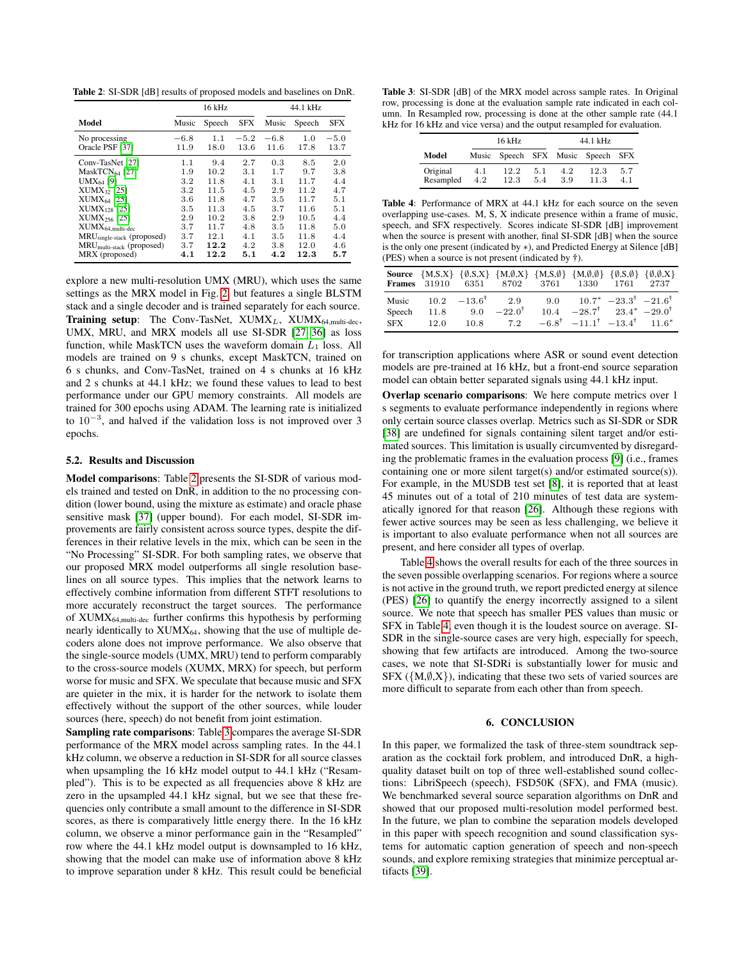Table 2: SI-SDR [dB] results of proposed models and baselines on DnR.

|                                                                                                                                                                                                                                                   | 16 kHz                                                             |                                                                             |                                                                    | 44.1 kHz                                                           |                                                                            |                                                                    |  |
|---------------------------------------------------------------------------------------------------------------------------------------------------------------------------------------------------------------------------------------------------|--------------------------------------------------------------------|-----------------------------------------------------------------------------|--------------------------------------------------------------------|--------------------------------------------------------------------|----------------------------------------------------------------------------|--------------------------------------------------------------------|--|
| Model                                                                                                                                                                                                                                             | Music                                                              | Speech                                                                      | <b>SFX</b>                                                         | Music                                                              | Speech                                                                     | <b>SFX</b>                                                         |  |
| No processing<br>Oracle PSF [37]                                                                                                                                                                                                                  | $-6.8$<br>11.9                                                     | 1.1<br>18.0                                                                 | $-5.2$<br>13.6                                                     | $-6.8$<br>11.6                                                     | 1.0<br>17.8                                                                | $-5.0$<br>13.7                                                     |  |
| Conv-TasNet [27]<br>MaskTCN $_{64}$ [27]<br>$UMX_{64}$ [9]<br>$XUMX_{32}$ [25]<br>$XUMX_{64}$ [25]<br>$XUMX_{128}$ [25]<br>$XUMX256$ [25]<br>${\rm XUMX_{64, multi-dec}}$<br>MRU <sub>single-stack</sub> (proposed)<br>$MRUmultistack$ (proposed) | 1.1<br>1.9<br>3.2<br>3.2<br>3.6<br>3.5<br>2.9<br>3.7<br>3.7<br>3.7 | 9.4<br>10.2<br>11.8<br>11.5<br>11.8<br>11.3<br>10.2<br>11.7<br>12.1<br>12.2 | 2.7<br>3.1<br>4.1<br>4.5<br>4.7<br>4.5<br>3.8<br>4.8<br>4.1<br>4.2 | 0.3<br>1.7<br>3.1<br>2.9<br>3.5<br>3.7<br>2.9<br>3.5<br>3.5<br>3.8 | 8.5<br>9.7<br>11.7<br>11.2<br>11.7<br>11.6<br>10.5<br>11.8<br>11.8<br>12.0 | 2.0<br>3.8<br>4.4<br>4.7<br>5.1<br>5.1<br>4.4<br>5.0<br>4.4<br>4.6 |  |
| MRX (proposed)                                                                                                                                                                                                                                    | 4.1                                                                | 12.2                                                                        | 5.1                                                                | 4.2                                                                | 12.3                                                                       | 5.7                                                                |  |

explore a new multi-resolution UMX (MRU), which uses the same settings as the MRX model in Fig. 2, but features a single BLSTM stack and a single decoder and is trained separately for each source. Training setup: The Conv-TasNet,  $XUMX_L$ ,  $XUMX_{64, \text{multi-dec}}$ , UMX, MRU, and MRX models all use SI-SDR [27, 36] as loss function, while MaskTCN uses the waveform domain  $L_1$  loss. All models are trained on 9 s chunks, except MaskTCN, trained on 6 s chunks, and Conv-TasNet, trained on 4 s chunks at 16 kHz and 2 s chunks at 44.1 kHz; we found these values to lead to best performance under our GPU memory constraints. All models are trained for 300 epochs using ADAM. The learning rate is initialized to 10<sup>−</sup><sup>3</sup> , and halved if the validation loss is not improved over 3 epochs.

#### 5.2. Results and Discussion

Model comparisons: Table 2 presents the SI-SDR of various models trained and tested on DnR, in addition to the no processing condition (lower bound, using the mixture as estimate) and oracle phase sensitive mask [37] (upper bound). For each model, SI-SDR improvements are fairly consistent across source types, despite the differences in their relative levels in the mix, which can be seen in the "No Processing" SI-SDR. For both sampling rates, we observe that our proposed MRX model outperforms all single resolution baselines on all source types. This implies that the network learns to effectively combine information from different STFT resolutions to more accurately reconstruct the target sources. The performance of XUMX64,multi-dec further confirms this hypothesis by performing nearly identically to  $XUMX_{64}$ , showing that the use of multiple decoders alone does not improve performance. We also observe that the single-source models (UMX, MRU) tend to perform comparably to the cross-source models (XUMX, MRX) for speech, but perform worse for music and SFX. We speculate that because music and SFX are quieter in the mix, it is harder for the network to isolate them effectively without the support of the other sources, while louder sources (here, speech) do not benefit from joint estimation.

Sampling rate comparisons: Table 3 compares the average SI-SDR performance of the MRX model across sampling rates. In the 44.1 kHz column, we observe a reduction in SI-SDR for all source classes when upsampling the 16 kHz model output to 44.1 kHz ("Resampled"). This is to be expected as all frequencies above 8 kHz are zero in the upsampled 44.1 kHz signal, but we see that these frequencies only contribute a small amount to the difference in SI-SDR scores, as there is comparatively little energy there. In the 16 kHz column, we observe a minor performance gain in the "Resampled" row where the 44.1 kHz model output is downsampled to 16 kHz, showing that the model can make use of information above 8 kHz to improve separation under 8 kHz. This result could be beneficial

Table 3: SI-SDR [dB] of the MRX model across sample rates. In Original row, processing is done at the evaluation sample rate indicated in each column. In Resampled row, processing is done at the other sample rate (44.1 kHz for 16 kHz and vice versa) and the output resampled for evaluation.

|           | $16$ kHz |      |     | 44.1 kHz |                                   |     |  |
|-----------|----------|------|-----|----------|-----------------------------------|-----|--|
| Model     |          |      |     |          | Music Speech SFX Music Speech SFX |     |  |
| Original  | 4.1      | 12.2 | 5.1 | 4.2      | 12.3                              | 5.7 |  |
| Resampled | 4.2      | 12.3 | 5.4 | 3.9      | 11.3                              | 4.1 |  |

Table 4: Performance of MRX at 44.1 kHz for each source on the seven overlapping use-cases. M, S, X indicate presence within a frame of music, speech, and SFX respectively. Scores indicate SI-SDR [dB] improvement when the source is present with another, final SI-SDR [dB] when the source is the only one present (indicated by ∗), and Predicted Energy at Silence [dB] (PES) when a source is not present (indicated by †).

|            |      |                   | <b>Source</b> $\{M, S, X\}$ $\{\emptyset, S, X\}$ $\{M, \emptyset, X\}$ $\{M, S, \emptyset\}$ $\{M, \emptyset, \emptyset\}$ $\{\emptyset, S, \emptyset\}$ $\{\emptyset, \emptyset, X\}$<br><b>Frames</b> 31910 6351 8702 3761 1330 1761 2737 |      |                                                               |  |
|------------|------|-------------------|----------------------------------------------------------------------------------------------------------------------------------------------------------------------------------------------------------------------------------------------|------|---------------------------------------------------------------|--|
| Music      | 10.2 | $-13.6^{\dagger}$ | 2.9                                                                                                                                                                                                                                          |      | 9.0 $10.7^*$ $-23.3^{\dagger}$ $-21.6^{\dagger}$              |  |
| Speech     | 11.8 | 9.0               | $-22.0^{\dagger}$                                                                                                                                                                                                                            | 10.4 | $-28.7^{\dagger}$ $23.4^{\dagger}$ $-29.0^{\dagger}$          |  |
| <b>SFX</b> | 12.0 | 10.8              | 7.2                                                                                                                                                                                                                                          |      | $-6.8^{\dagger}$ $-11.1^{\dagger}$ $-13.4^{\dagger}$ $11.6^*$ |  |

for transcription applications where ASR or sound event detection models are pre-trained at 16 kHz, but a front-end source separation model can obtain better separated signals using 44.1 kHz input.

Overlap scenario comparisons: We here compute metrics over 1 s segments to evaluate performance independently in regions where only certain source classes overlap. Metrics such as SI-SDR or SDR [38] are undefined for signals containing silent target and/or estimated sources. This limitation is usually circumvented by disregarding the problematic frames in the evaluation process [9] (i.e., frames containing one or more silent target(s) and/or estimated source(s)). For example, in the MUSDB test set [8], it is reported that at least 45 minutes out of a total of 210 minutes of test data are systematically ignored for that reason [26]. Although these regions with fewer active sources may be seen as less challenging, we believe it is important to also evaluate performance when not all sources are present, and here consider all types of overlap.

Table 4 shows the overall results for each of the three sources in the seven possible overlapping scenarios. For regions where a source is not active in the ground truth, we report predicted energy at silence (PES) [26] to quantify the energy incorrectly assigned to a silent source. We note that speech has smaller PES values than music or SFX in Table 4, even though it is the loudest source on average. SI-SDR in the single-source cases are very high, especially for speech, showing that few artifacts are introduced. Among the two-source cases, we note that SI-SDRi is substantially lower for music and SFX ( $\{M,\emptyset,X\}$ ), indicating that these two sets of varied sources are more difficult to separate from each other than from speech.

#### 6. CONCLUSION

In this paper, we formalized the task of three-stem soundtrack separation as the cocktail fork problem, and introduced DnR, a highquality dataset built on top of three well-established sound collections: LibriSpeech (speech), FSD50K (SFX), and FMA (music). We benchmarked several source separation algorithms on DnR and showed that our proposed multi-resolution model performed best. In the future, we plan to combine the separation models developed in this paper with speech recognition and sound classification systems for automatic caption generation of speech and non-speech sounds, and explore remixing strategies that minimize perceptual artifacts [39].